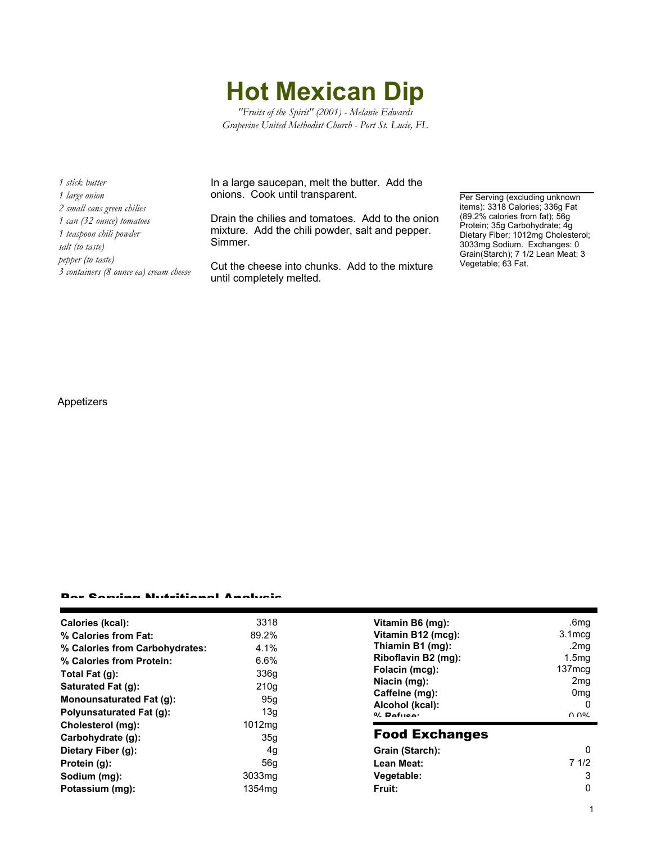**Hot Mexican Dip**

*"Fruits of the Spirit" (2001) - Melanie Edwards Grapevine United Methodist Church - Port St. Lucie, FL*

*1 stick butter 1 large onion 2 small cans green chilies 1 can (32 ounce) tomatoes 1 teaspoon chili powder salt (to taste) pepper (to taste) 3 containers (8 ounce ea) cream cheese* In a large saucepan, melt the butter. Add the onions. Cook until transparent.

Drain the chilies and tomatoes. Add to the onion mixture. Add the chili powder, salt and pepper. Simmer.

Cut the cheese into chunks. Add to the mixture until completely melted.

Per Serving (excluding unknown items): 3318 Calories; 336g Fat (89.2% calories from fat); 56g Protein; 35g Carbohydrate; 4g Dietary Fiber; 1012mg Cholesterol; 3033mg Sodium. Exchanges: 0 Grain(Starch); 7 1/2 Lean Meat; 3 Vegetable; 63 Fat.

Appetizers

## Per Serving Nutritional Analysis

| Calories (kcal):               | 3318               | Vitamin B6 (mq):                                    | .6mq               |
|--------------------------------|--------------------|-----------------------------------------------------|--------------------|
| % Calories from Fat:           | 89.2%              | Vitamin B12 (mcg):                                  | 3.1 <sub>mcq</sub> |
| % Calories from Carbohydrates: | 4.1%               | Thiamin B1 (mg):                                    | .2mg               |
| % Calories from Protein:       | 6.6%               | Riboflavin B2 (mg):                                 | 1.5 <sub>mq</sub>  |
| Total Fat (g):                 | 336g               | Folacin (mcg):                                      | 137 <sub>mcq</sub> |
| Saturated Fat (q):             | 210q               | Niacin (mg):                                        | 2 <sub>mq</sub>    |
| Monounsaturated Fat (q):       | 95g                | Caffeine (mg):<br>Alcohol (kcal):<br>$0/2$ Pofileo: | 0 <sub>mg</sub>    |
| Polyunsaturated Fat (q):       | 13q                |                                                     | 0<br>በ በ%          |
| Cholesterol (mg):              | 1012mg             |                                                     |                    |
| Carbohydrate (g):              | 35 <sub>q</sub>    | <b>Food Exchanges</b>                               |                    |
| Dietary Fiber (g):             | 4g                 | Grain (Starch):                                     | 0                  |
| Protein (g):                   | 56q                | Lean Meat:                                          | 71/2               |
| Sodium (mg):                   | 3033 <sub>mq</sub> | Vegetable:                                          | 3                  |
| Potassium (mg):                | 1354 <sub>mq</sub> | Fruit:                                              | 0                  |